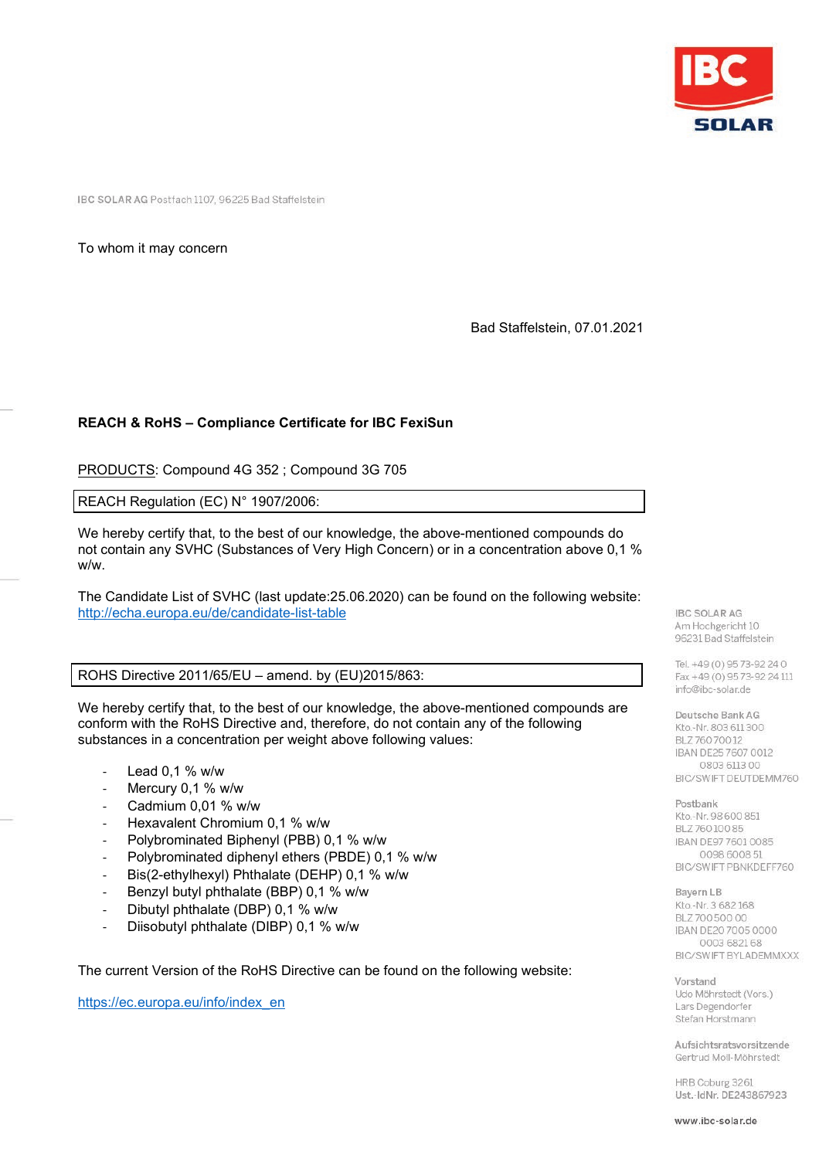

IBC SOLAR AG Postfach 1107, 96225 Bad Staffelstein

To whom it may concern

Bad Staffelstein, 07.01.2021

## **REACH & RoHS – Compliance Certificate for IBC FexiSun**

PRODUCTS: Compound 4G 352 ; Compound 3G 705

REACH Regulation (EC) N° 1907/2006:

We hereby certify that, to the best of our knowledge, the above-mentioned compounds do not contain any SVHC (Substances of Very High Concern) or in a concentration above 0,1 % w/w.

The Candidate List of SVHC (last update:25.06.2020) can be found on the following website: <http://echa.europa.eu/de/candidate-list-table>

ROHS Directive 2011/65/EU – amend. by (EU)2015/863:

We hereby certify that, to the best of our knowledge, the above-mentioned compounds are conform with the RoHS Directive and, therefore, do not contain any of the following substances in a concentration per weight above following values:

- Lead  $0,1$  % w/w
- Mercury 0,1 % w/w
- Cadmium 0,01 % w/w
- Hexavalent Chromium 0.1 % w/w
- Polybrominated Biphenyl (PBB) 0,1 % w/w
- Polybrominated diphenyl ethers (PBDE) 0.1 % w/w
- Bis(2-ethylhexyl) Phthalate (DEHP) 0,1 % w/w
- Benzyl butyl phthalate (BBP) 0,1 % w/w
- Dibutyl phthalate (DBP) 0,1 % w/w
- Diisobutyl phthalate (DIBP) 0,1 % w/w

The current Version of the RoHS Directive can be found on the following website:

[https://ec.europa.eu/info/index\\_en](https://ec.europa.eu/info/index_en)

**IBC SOLAR AG** Am Hochgericht 10 96231 Bad Staffelstein

Tel. +49 (0) 95 73-92 24 0 Fax +49 (0) 9573-92 24 111 info@ibc-solar.de

Deutsche Bank AG Kto.-Nr. 803 611 300 BLZ 760 700 12 IBAN DE25 7607 0012 0803 6113 00 BIC/SWIFT DEUTDEMM760

Postbank Kto.-Nr. 98 600 851 BLZ 76010085 IBAN DE97 7601 0085 0098 6008 51 BIC/SWIFT PBNKDEFF760

Bayern LB Kto.-Nr. 3 682 168 BLZ 700 500 00 IBAN DE20 7005 0000 0003 6821 68 BIC/SWIFT BYLADEMMXXX

Vorstand Udo Möhrstedt (Vors.) Lars Degendorfer Stefan Horstmann

Aufsichtsratsvorsitzende Gertrud Moll-Möhrstedt

HRB Coburg 3261 Ust.-IdNr. DE243867923

www.ibc-solar.de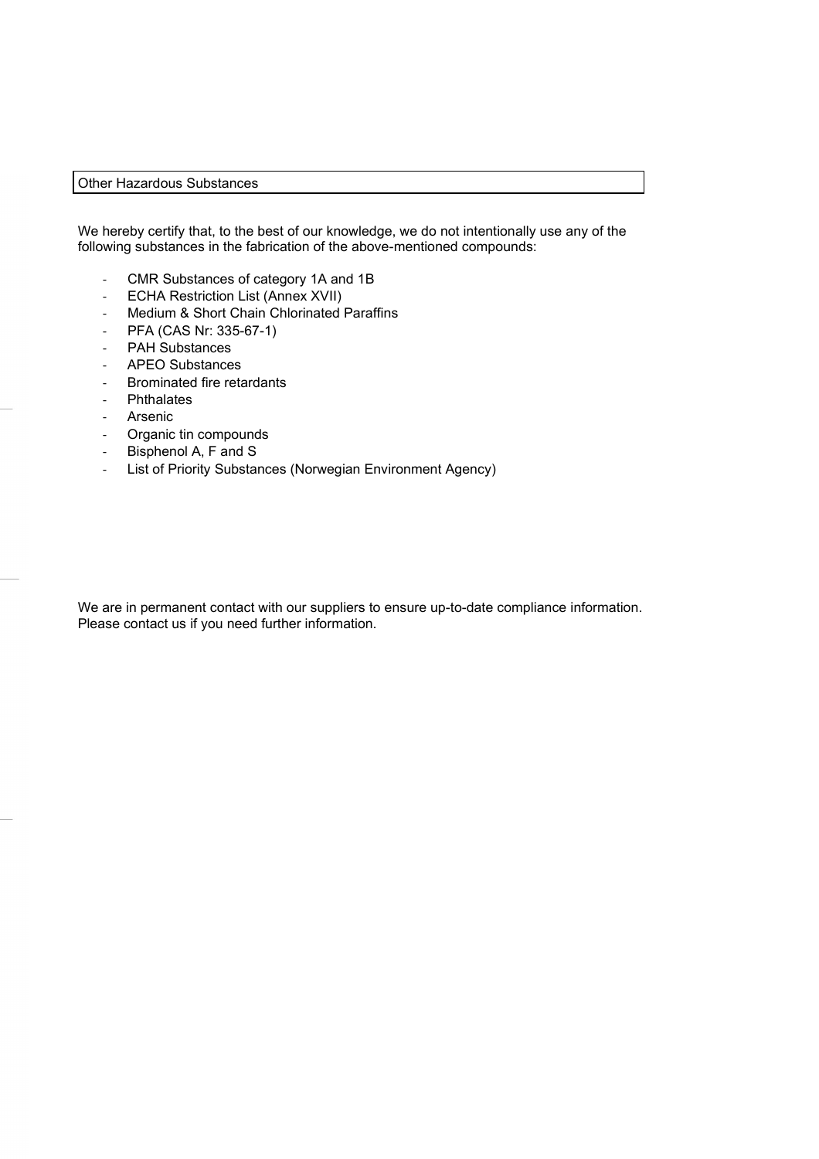## Other Hazardous Substances

We hereby certify that, to the best of our knowledge, we do not intentionally use any of the following substances in the fabrication of the above-mentioned compounds:

- CMR Substances of category 1A and 1B
- ECHA Restriction List (Annex XVII)
- Medium & Short Chain Chlorinated Paraffins
- PFA (CAS Nr: 335-67-1)
- PAH Substances
- APEO Substances
- Brominated fire retardants
- Phthalates
- **Arsenic**
- Organic tin compounds
- Bisphenol A, F and S
- List of Priority Substances (Norwegian Environment Agency)

We are in permanent contact with our suppliers to ensure up-to-date compliance information. Please contact us if you need further information.